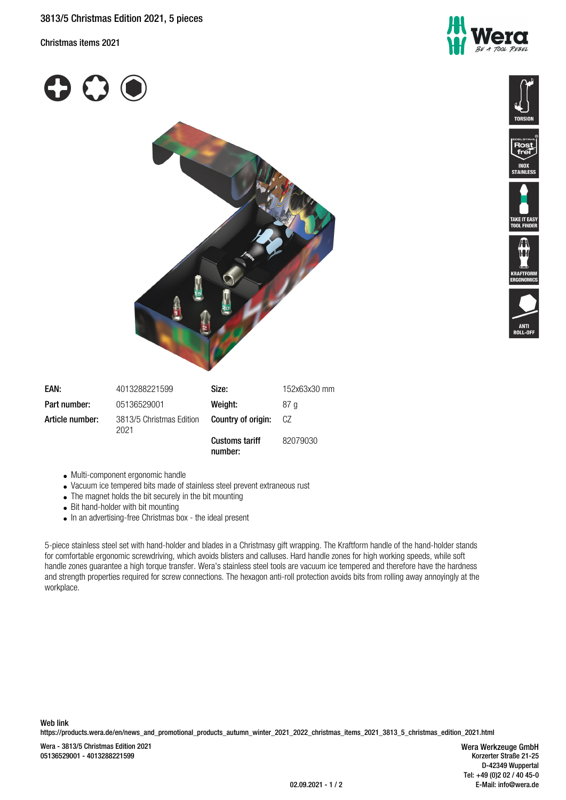Christmas items 2021







**TAINLE** 







| EAN:            | 4013288221599                    | Size:                 | 152x63x30 mm |
|-----------------|----------------------------------|-----------------------|--------------|
| Part number:    | 05136529001                      | Weight:               | .87 a        |
| Article number: | 3813/5 Christmas Edition<br>2021 | Country of origin:    | CZ.          |
|                 |                                  | <b>Customs tariff</b> | 82079030     |

**number:**

- Multi-component ergonomic handle Vacuum ice tempered bits made of stainless steel prevent extraneous rust
- The magnet holds the bit securely in the bit mounting
- 
- Bit hand-holder with bit mounting
- In an advertising-free Christmas box the ideal present

5-piece stainless steel set with hand-holder and blades in a Christmasy gift wrapping. The Kraftform handle of the hand-holder stands for comfortable ergonomic screwdriving, which avoids blisters and calluses. Hard handle zones for high working speeds, while soft handle zones guarantee a high torque transfer. Wera's stainless steel tools are vacuum ice tempered and therefore have the hardness and strength properties required for screw connections. The hexagon anti-roll protection avoids bits from rolling away annoyingly at the workplace.